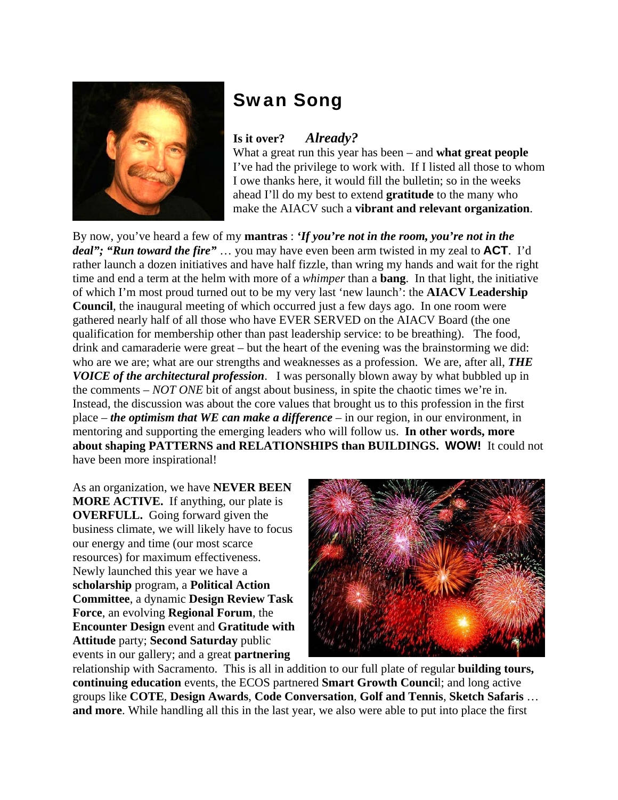

## Swan Song

## **Is it over?** *Already?*

What a great run this year has been – and **what great people**  I've had the privilege to work with. If I listed all those to whom I owe thanks here, it would fill the bulletin; so in the weeks ahead I'll do my best to extend **gratitude** to the many who make the AIACV such a **vibrant and relevant organization**.

By now, you've heard a few of my **mantras** : *'If you're not in the room, you're not in the deal"; "Run toward the fire"* … you may have even been arm twisted in my zeal to **ACT**. I'd rather launch a dozen initiatives and have half fizzle, than wring my hands and wait for the right time and end a term at the helm with more of a *whimper* than a **bang**. In that light, the initiative of which I'm most proud turned out to be my very last 'new launch': the **AIACV Leadership Council**, the inaugural meeting of which occurred just a few days ago. In one room were gathered nearly half of all those who have EVER SERVED on the AIACV Board (the one qualification for membership other than past leadership service: to be breathing). The food, drink and camaraderie were great – but the heart of the evening was the brainstorming we did: who are we are; what are our strengths and weaknesses as a profession. We are, after all, *THE VOICE of the architectural profession*. I was personally blown away by what bubbled up in the comments – *NOT ONE* bit of angst about business, in spite the chaotic times we're in. Instead, the discussion was about the core values that brought us to this profession in the first place – *the optimism that WE can make a difference* – in our region, in our environment, in mentoring and supporting the emerging leaders who will follow us. **In other words, more about shaping PATTERNS and RELATIONSHIPS than BUILDINGS. WOW!** It could not have been more inspirational!

As an organization, we have **NEVER BEEN MORE ACTIVE.** If anything, our plate is **OVERFULL.** Going forward given the business climate, we will likely have to focus our energy and time (our most scarce resources) for maximum effectiveness. Newly launched this year we have a **scholarship** program, a **Political Action Committee**, a dynamic **Design Review Task Force**, an evolving **Regional Forum**, the **Encounter Design** event and **Gratitude with Attitude** party; **Second Saturday** public events in our gallery; and a great **partnering** 



relationship with Sacramento. This is all in addition to our full plate of regular **building tours, continuing education** events, the ECOS partnered **Smart Growth Counci**l; and long active groups like **COTE**, **Design Awards**, **Code Conversation**, **Golf and Tennis**, **Sketch Safaris** … **and more**. While handling all this in the last year, we also were able to put into place the first